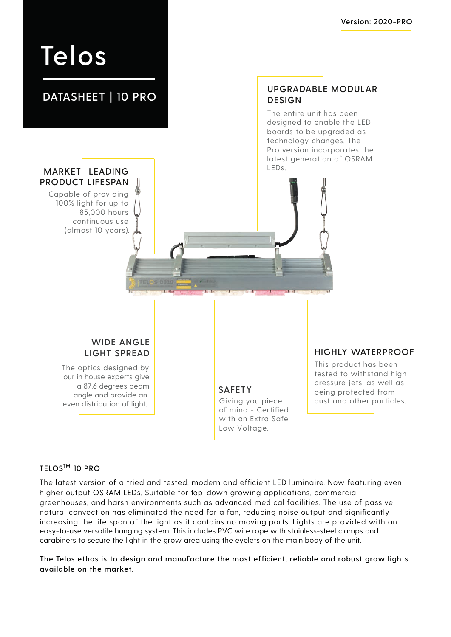# **Telos**

# **DATASHEET | 10 PRO**

#### **UPGRADABLE MODULAR DESIGN**

The entire unit has been designed to enable the LED boards to be upgraded as technology changes. The Pro version incorporates the latest generation of OSRAM

## **MARKET-LEADING PRODUCT LIFESPAN**

Capable of providing 100% light for up to 85,000 hours continuous use (almost 10 years).

## **WIDE ANGLE LIGHT SPREAD**

The optics designed by our in house experts give a 87.6 degrees beam angle and provide an even distribution of light.

**SAFETY** Giving you piece of mind - Certified with an Extra Safe Low Voltage.

### **HIGHLY WATERPROOF**

This product has been tested to withstand high pressure jets, as well as being protected from dust and other particles.

## $TELOS^{TM}$  10 PRO

The latest version of a tried and tested, modern and efficient LED luminaire. Now featuring even higher output OSRAM LEDs. Suitable for top-down growing applications, commercial greenhouses, and harsh environments such as advanced medical facilities. The use of passive natural convection has eliminated the need for a fan, reducing noise output and significantly increasing the life span of the light as it contains no moving parts. Lights are provided with an easy-to-use versatile hanging system. This includes PVC wire rope with stainless-steel clamps and carabiners to secure the light in the grow area using the eyelets on the main body of the unit.

**The Telos ethos is to design and manufacture the most efficient, reliable and robust grow lights available on the market.**